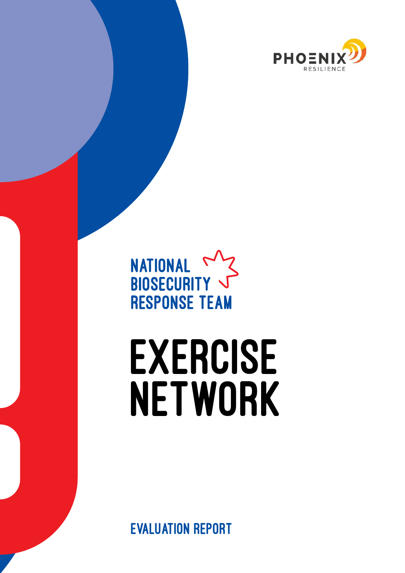



# **EXERCISE** Network

EVALUATION REPORT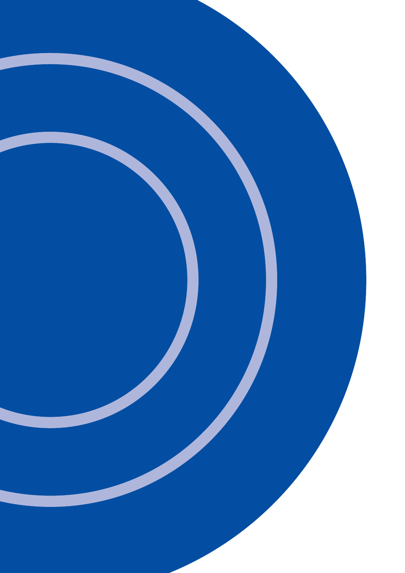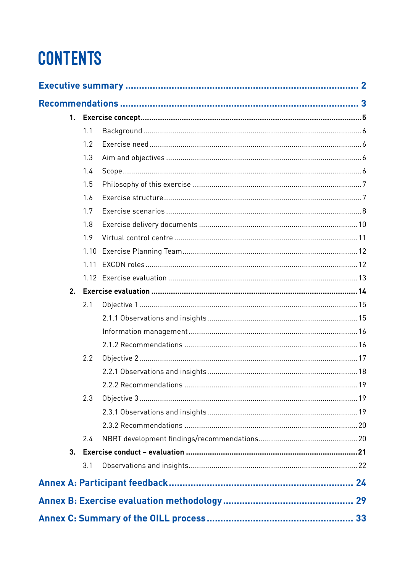## **CONTENTS**

|    | 1.1  |  |  |
|----|------|--|--|
|    | 1.2  |  |  |
|    | 1.3  |  |  |
|    | 1.4  |  |  |
|    | 1.5  |  |  |
|    | 1.6  |  |  |
|    | 1.7  |  |  |
|    | 1.8  |  |  |
|    | 1.9  |  |  |
|    | 1.10 |  |  |
|    | 1.11 |  |  |
|    |      |  |  |
| 2. |      |  |  |
|    | 2.1  |  |  |
|    |      |  |  |
|    |      |  |  |
|    |      |  |  |
|    | 2.2  |  |  |
|    |      |  |  |
|    |      |  |  |
|    | 2.3  |  |  |
|    |      |  |  |
|    |      |  |  |
|    | 2.4  |  |  |
|    |      |  |  |
|    | 3.1  |  |  |
|    |      |  |  |
|    |      |  |  |
|    |      |  |  |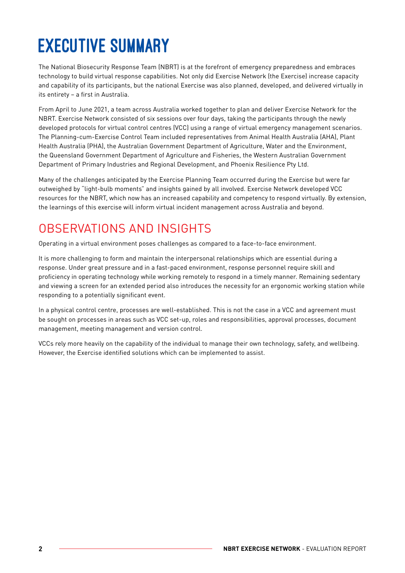## <span id="page-3-0"></span>Executive summary

The National Biosecurity Response Team (NBRT) is at the forefront of emergency preparedness and embraces technology to build virtual response capabilities. Not only did Exercise Network (the Exercise) increase capacity and capability of its participants, but the national Exercise was also planned, developed, and delivered virtually in its entirety – a first in Australia.

From April to June 2021, a team across Australia worked together to plan and deliver Exercise Network for the NBRT. Exercise Network consisted of six sessions over four days, taking the participants through the newly developed protocols for virtual control centres (VCC) using a range of virtual emergency management scenarios. The Planning-cum-Exercise Control Team included representatives from Animal Health Australia (AHA), Plant Health Australia (PHA), the Australian Government Department of Agriculture, Water and the Environment, the Queensland Government Department of Agriculture and Fisheries, the Western Australian Government Department of Primary Industries and Regional Development, and Phoenix Resilience Pty Ltd.

Many of the challenges anticipated by the Exercise Planning Team occurred during the Exercise but were far outweighed by "light-bulb moments" and insights gained by all involved. Exercise Network developed VCC resources for the NBRT, which now has an increased capability and competency to respond virtually. By extension, the learnings of this exercise will inform virtual incident management across Australia and beyond.

## OBSERVATIONS AND INSIGHTS

Operating in a virtual environment poses challenges as compared to a face-to-face environment.

It is more challenging to form and maintain the interpersonal relationships which are essential during a response. Under great pressure and in a fast-paced environment, response personnel require skill and proficiency in operating technology while working remotely to respond in a timely manner. Remaining sedentary and viewing a screen for an extended period also introduces the necessity for an ergonomic working station while responding to a potentially significant event.

In a physical control centre, processes are well-established. This is not the case in a VCC and agreement must be sought on processes in areas such as VCC set-up, roles and responsibilities, approval processes, document management, meeting management and version control.

VCCs rely more heavily on the capability of the individual to manage their own technology, safety, and wellbeing. However, the Exercise identified solutions which can be implemented to assist.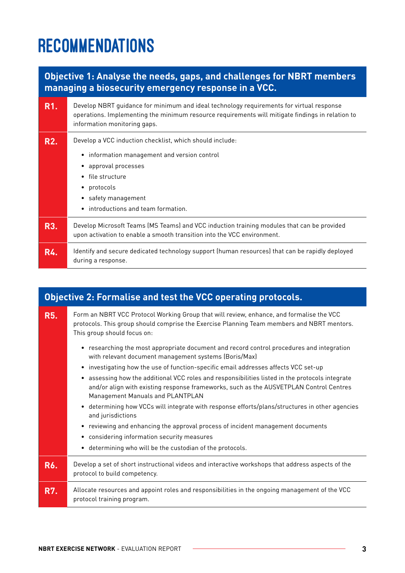## <span id="page-4-0"></span>**RECOMMENDATIONS**

#### **Objective 1: Analyse the needs, gaps, and challenges for NBRT members managing a biosecurity emergency response in a VCC.**

| R <sub>1</sub> . | Develop NBRT guidance for minimum and ideal technology requirements for virtual response<br>operations. Implementing the minimum resource requirements will mitigate findings in relation to<br>information monitoring gaps.                    |
|------------------|-------------------------------------------------------------------------------------------------------------------------------------------------------------------------------------------------------------------------------------------------|
| R <sub>2</sub> . | Develop a VCC induction checklist, which should include:<br>• information management and version control<br>• approval processes<br>file structure<br>$\bullet$<br>• protocols<br>• safety management<br>introductions and team formation.<br>٠ |
| R <sub>3</sub> . | Develop Microsoft Teams (MS Teams) and VCC induction training modules that can be provided<br>upon activation to enable a smooth transition into the VCC environment.                                                                           |
| R4.              | Identify and secure dedicated technology support (human resources) that can be rapidly deployed<br>during a response.                                                                                                                           |

#### **Objective 2: Formalise and test the VCC operating protocols. R5.** Form an NBRT VCC Protocol Working Group that will review, enhance, and formalise the VCC protocols. This group should comprise the Exercise Planning Team members and NBRT mentors. This group should focus on: • researching the most appropriate document and record control procedures and integration with relevant document management systems (Boris/Max) • investigating how the use of function-specific email addresses affects VCC set-up • assessing how the additional VCC roles and responsibilities listed in the protocols integrate and/or align with existing response frameworks, such as the AUSVETPLAN Control Centres Management Manuals and PLANTPLAN • determining how VCCs will integrate with response efforts/plans/structures in other agencies and jurisdictions • reviewing and enhancing the approval process of incident management documents • considering information security measures • determining who will be the custodian of the protocols. **R6.** Develop a set of short instructional videos and interactive workshops that address aspects of the protocol to build competency. **R7.** Allocate resources and appoint roles and responsibilities in the ongoing management of the VCC protocol training program.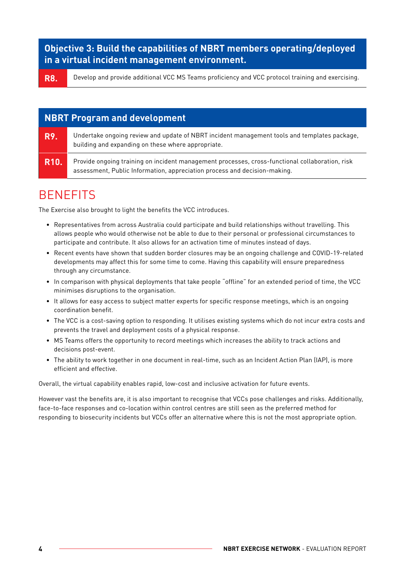#### **Objective 3: Build the capabilities of NBRT members operating/deployed in a virtual incident management environment.**

**R8.** Develop and provide additional VCC MS Teams proficiency and VCC protocol training and exercising.

#### **NBRT Program and development**

**R9.** Undertake ongoing review and update of NBRT incident management tools and templates package, building and expanding on these where appropriate. **R10.** Provide ongoing training on incident management processes, cross-functional collaboration, risk assessment, Public Information, appreciation process and decision-making.

## **BENEFITS**

The Exercise also brought to light the benefits the VCC introduces.

- Representatives from across Australia could participate and build relationships without travelling. This allows people who would otherwise not be able to due to their personal or professional circumstances to participate and contribute. It also allows for an activation time of minutes instead of days.
- Recent events have shown that sudden border closures may be an ongoing challenge and COVID-19-related developments may affect this for some time to come. Having this capability will ensure preparedness through any circumstance.
- In comparison with physical deployments that take people "offline" for an extended period of time, the VCC minimises disruptions to the organisation.
- It allows for easy access to subject matter experts for specific response meetings, which is an ongoing coordination benefit.
- The VCC is a cost-saving option to responding. It utilises existing systems which do not incur extra costs and prevents the travel and deployment costs of a physical response.
- MS Teams offers the opportunity to record meetings which increases the ability to track actions and decisions post-event.
- The ability to work together in one document in real-time, such as an Incident Action Plan (IAP), is more efficient and effective.

Overall, the virtual capability enables rapid, low-cost and inclusive activation for future events.

However vast the benefits are, it is also important to recognise that VCCs pose challenges and risks. Additionally, face-to-face responses and co-location within control centres are still seen as the preferred method for responding to biosecurity incidents but VCCs offer an alternative where this is not the most appropriate option.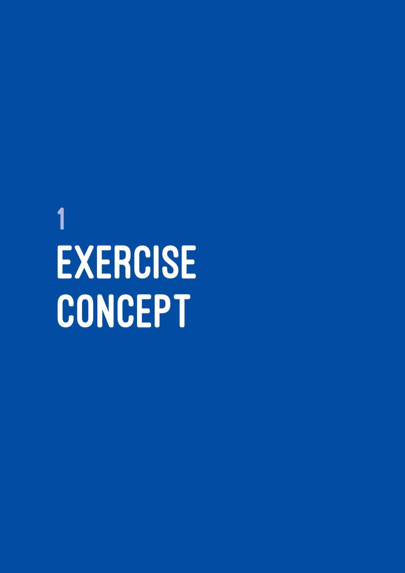<span id="page-6-0"></span>1 **EXERCISE CONCEPT**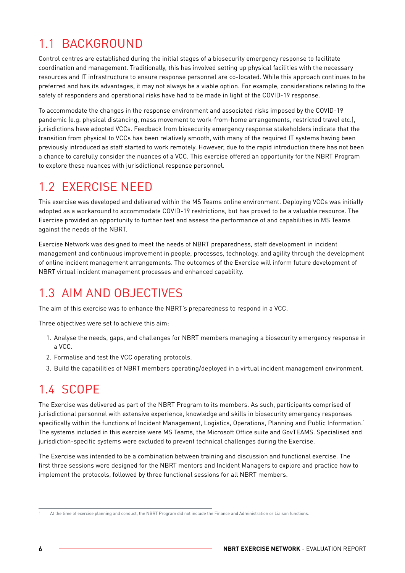## <span id="page-7-0"></span>1.1 BACKGROUND

Control centres are established during the initial stages of a biosecurity emergency response to facilitate coordination and management. Traditionally, this has involved setting up physical facilities with the necessary resources and IT infrastructure to ensure response personnel are co-located. While this approach continues to be preferred and has its advantages, it may not always be a viable option. For example, considerations relating to the safety of responders and operational risks have had to be made in light of the COVID-19 response.

To accommodate the changes in the response environment and associated risks imposed by the COVID-19 pandemic (e.g. physical distancing, mass movement to work-from-home arrangements, restricted travel etc.), jurisdictions have adopted VCCs. Feedback from biosecurity emergency response stakeholders indicate that the transition from physical to VCCs has been relatively smooth, with many of the required IT systems having been previously introduced as staff started to work remotely. However, due to the rapid introduction there has not been a chance to carefully consider the nuances of a VCC. This exercise offered an opportunity for the NBRT Program to explore these nuances with jurisdictional response personnel.

## 1.2 EXERCISE NEED

This exercise was developed and delivered within the MS Teams online environment. Deploying VCCs was initially adopted as a workaround to accommodate COVID-19 restrictions, but has proved to be a valuable resource. The Exercise provided an opportunity to further test and assess the performance of and capabilities in MS Teams against the needs of the NBRT.

Exercise Network was designed to meet the needs of NBRT preparedness, staff development in incident management and continuous improvement in people, processes, technology, and agility through the development of online incident management arrangements. The outcomes of the Exercise will inform future development of NBRT virtual incident management processes and enhanced capability.

## 1.3 AIM AND OBJECTIVES

The aim of this exercise was to enhance the NBRT's preparedness to respond in a VCC.

Three objectives were set to achieve this aim:

- 1. Analyse the needs, gaps, and challenges for NBRT members managing a biosecurity emergency response in a VCC.
- 2. Formalise and test the VCC operating protocols.
- 3. Build the capabilities of NBRT members operating/deployed in a virtual incident management environment.

## 1.4 SCOPE

The Exercise was delivered as part of the NBRT Program to its members. As such, participants comprised of jurisdictional personnel with extensive experience, knowledge and skills in biosecurity emergency responses specifically within the functions of Incident Management, Logistics, Operations, Planning and Public Information.<sup>1</sup> The systems included in this exercise were MS Teams, the Microsoft Office suite and GovTEAMS. Specialised and jurisdiction-specific systems were excluded to prevent technical challenges during the Exercise.

The Exercise was intended to be a combination between training and discussion and functional exercise. The first three sessions were designed for the NBRT mentors and Incident Managers to explore and practice how to implement the protocols, followed by three functional sessions for all NBRT members.

At the time of exercise planning and conduct, the NBRT Program did not include the Finance and Administration or Liaison functions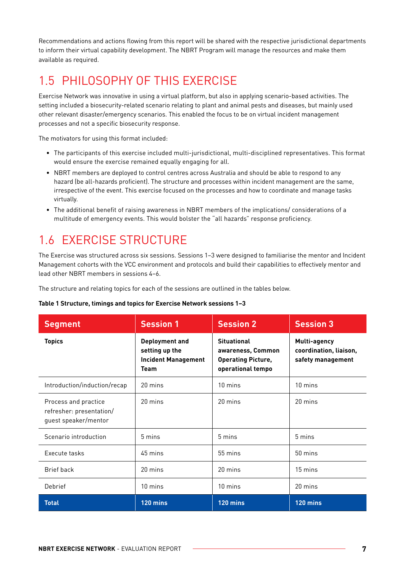<span id="page-8-0"></span>Recommendations and actions flowing from this report will be shared with the respective jurisdictional departments to inform their virtual capability development. The NBRT Program will manage the resources and make them available as required.

## 1.5 PHILOSOPHY OF THIS EXERCISE

Exercise Network was innovative in using a virtual platform, but also in applying scenario-based activities. The setting included a biosecurity-related scenario relating to plant and animal pests and diseases, but mainly used other relevant disaster/emergency scenarios. This enabled the focus to be on virtual incident management processes and not a specific biosecurity response.

The motivators for using this format included:

- The participants of this exercise included multi-jurisdictional, multi-disciplined representatives. This format would ensure the exercise remained equally engaging for all.
- NBRT members are deployed to control centres across Australia and should be able to respond to any hazard (be all-hazards proficient). The structure and processes within incident management are the same, irrespective of the event. This exercise focused on the processes and how to coordinate and manage tasks virtually.
- The additional benefit of raising awareness in NBRT members of the implications/ considerations of a multitude of emergency events. This would bolster the "all hazards" response proficiency.

## 1.6 EXERCISE STRUCTURE

The Exercise was structured across six sessions. Sessions 1–3 were designed to familiarise the mentor and Incident Management cohorts with the VCC environment and protocols and build their capabilities to effectively mentor and lead other NBRT members in sessions 4–6.

The structure and relating topics for each of the sessions are outlined in the tables below.

#### **Table 1 Structure, timings and topics for Exercise Network sessions 1–3**

| <b>Segment</b>                                                           | <b>Session 1</b>                                                              | <b>Session 2</b>                                                                          | <b>Session 3</b>                                            |  |
|--------------------------------------------------------------------------|-------------------------------------------------------------------------------|-------------------------------------------------------------------------------------------|-------------------------------------------------------------|--|
| <b>Topics</b>                                                            | <b>Deployment and</b><br>setting up the<br><b>Incident Management</b><br>Team | <b>Situational</b><br>awareness, Common<br><b>Operating Picture,</b><br>operational tempo | Multi-agency<br>coordination, liaison,<br>safety management |  |
| Introduction/induction/recap                                             | 20 mins                                                                       | 10 mins                                                                                   | 10 mins                                                     |  |
| Process and practice<br>refresher: presentation/<br>guest speaker/mentor | 20 mins                                                                       | 20 mins                                                                                   | 20 mins                                                     |  |
| Scenario introduction                                                    | 5 mins                                                                        | 5 mins                                                                                    | 5 mins                                                      |  |
| Execute tasks                                                            | 45 mins                                                                       | 55 mins                                                                                   | 50 mins                                                     |  |
| <b>Brief back</b>                                                        | 20 mins                                                                       | 20 mins                                                                                   | 15 mins                                                     |  |
| Debrief                                                                  | 10 mins                                                                       | 10 mins                                                                                   | 20 mins                                                     |  |
| <b>Total</b>                                                             | 120 mins                                                                      | 120 mins                                                                                  | 120 mins                                                    |  |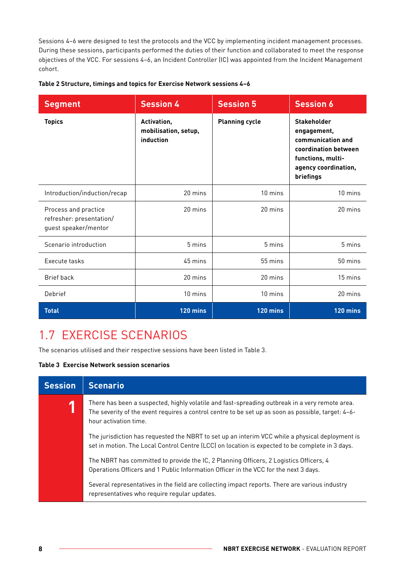<span id="page-9-0"></span>Sessions 4–6 were designed to test the protocols and the VCC by implementing incident management processes. During these sessions, participants performed the duties of their function and collaborated to meet the response objectives of the VCC. For sessions 4–6, an Incident Controller (IC) was appointed from the Incident Management cohort.

| <b>Segment</b>                                                           | <b>Session 4</b>                                 | <b>Session 5</b>      | <b>Session 6</b>                                                                                                                         |  |
|--------------------------------------------------------------------------|--------------------------------------------------|-----------------------|------------------------------------------------------------------------------------------------------------------------------------------|--|
| <b>Topics</b>                                                            | Activation,<br>mobilisation, setup,<br>induction | <b>Planning cycle</b> | <b>Stakeholder</b><br>engagement,<br>communication and<br>coordination between<br>functions, multi-<br>agency coordination,<br>briefings |  |
| Introduction/induction/recap                                             | 20 mins                                          | 10 mins               | 10 mins                                                                                                                                  |  |
| Process and practice<br>refresher: presentation/<br>guest speaker/mentor | 20 mins                                          | 20 mins               | 20 mins                                                                                                                                  |  |
| Scenario introduction                                                    | 5 mins                                           | 5 mins                | 5 mins                                                                                                                                   |  |
| Execute tasks                                                            | 45 mins                                          | 55 mins               | 50 mins                                                                                                                                  |  |
| <b>Brief back</b>                                                        | 20 mins                                          | 20 mins               | 15 mins                                                                                                                                  |  |
| Debrief                                                                  | 10 mins                                          | 10 mins               | 20 mins                                                                                                                                  |  |
| <b>Total</b>                                                             | 120 mins                                         | 120 mins              | 120 mins                                                                                                                                 |  |

#### **Table 2 Structure, timings and topics for Exercise Network sessions 4–6**

## 1.7 EXERCISE SCENARIOS

The scenarios utilised and their respective sessions have been listed in Table 3.

#### **Table 3 Exercise Network session scenarios**

| <b>Session</b> | <b>Scenario</b>                                                                                                                                                                                                               |
|----------------|-------------------------------------------------------------------------------------------------------------------------------------------------------------------------------------------------------------------------------|
|                | There has been a suspected, highly volatile and fast-spreading outbreak in a very remote area.<br>The severity of the event requires a control centre to be set up as soon as possible, target: 4-6-<br>hour activation time. |
|                | The jurisdiction has requested the NBRT to set up an interim VCC while a physical deployment is<br>set in motion. The Local Control Centre (LCC) on location is expected to be complete in 3 days.                            |
|                | The NBRT has committed to provide the IC, 2 Planning Officers, 2 Logistics Officers, 4<br>Operations Officers and 1 Public Information Officer in the VCC for the next 3 days.                                                |
|                | Several representatives in the field are collecting impact reports. There are various industry<br>representatives who require regular updates.                                                                                |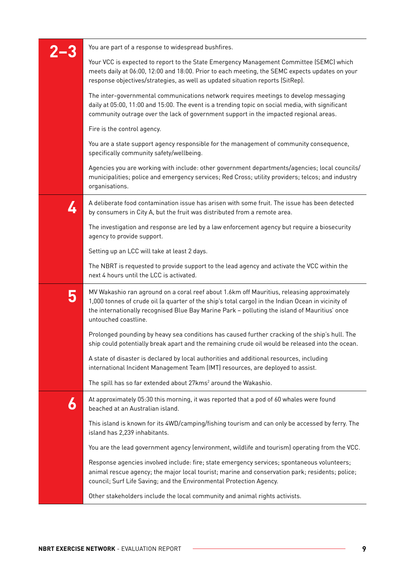| You are part of a response to widespread bushfires.<br>Your VCC is expected to report to the State Emergency Management Committee (SEMC) which                                                                                                                                                                            |  |
|---------------------------------------------------------------------------------------------------------------------------------------------------------------------------------------------------------------------------------------------------------------------------------------------------------------------------|--|
|                                                                                                                                                                                                                                                                                                                           |  |
| meets daily at 06:00, 12:00 and 18:00. Prior to each meeting, the SEMC expects updates on your<br>response objectives/strategies, as well as updated situation reports (SitRep).                                                                                                                                          |  |
| The inter-governmental communications network requires meetings to develop messaging<br>daily at 05:00, 11:00 and 15:00. The event is a trending topic on social media, with significant<br>community outrage over the lack of government support in the impacted regional areas.                                         |  |
| Fire is the control agency.                                                                                                                                                                                                                                                                                               |  |
| You are a state support agency responsible for the management of community consequence,<br>specifically community safety/wellbeing.                                                                                                                                                                                       |  |
| Agencies you are working with include: other government departments/agencies; local councils/<br>municipalities; police and emergency services; Red Cross; utility providers; telcos; and industry<br>organisations.                                                                                                      |  |
| A deliberate food contamination issue has arisen with some fruit. The issue has been detected<br>by consumers in City A, but the fruit was distributed from a remote area.                                                                                                                                                |  |
| The investigation and response are led by a law enforcement agency but require a biosecurity<br>agency to provide support.                                                                                                                                                                                                |  |
| Setting up an LCC will take at least 2 days.                                                                                                                                                                                                                                                                              |  |
| The NBRT is requested to provide support to the lead agency and activate the VCC within the<br>next 4 hours until the LCC is activated.                                                                                                                                                                                   |  |
| MV Wakashio ran aground on a coral reef about 1.6km off Mauritius, releasing approximately<br>1,000 tonnes of crude oil (a quarter of the ship's total cargo) in the Indian Ocean in vicinity of<br>the internationally recognised Blue Bay Marine Park - polluting the island of Mauritius' once<br>untouched coastline. |  |
| Prolonged pounding by heavy sea conditions has caused further cracking of the ship's hull. The<br>ship could potentially break apart and the remaining crude oil would be released into the ocean.                                                                                                                        |  |
| A state of disaster is declared by local authorities and additional resources, including<br>international Incident Management Team (IMT) resources, are deployed to assist.                                                                                                                                               |  |
| The spill has so far extended about 27kms <sup>2</sup> around the Wakashio.                                                                                                                                                                                                                                               |  |
| At approximately 05:30 this morning, it was reported that a pod of 60 whales were found<br>6<br>beached at an Australian island.                                                                                                                                                                                          |  |
| This island is known for its 4WD/camping/fishing tourism and can only be accessed by ferry. The<br>island has 2,239 inhabitants.                                                                                                                                                                                          |  |
| You are the lead government agency (environment, wildlife and tourism) operating from the VCC.                                                                                                                                                                                                                            |  |
| Response agencies involved include: fire; state emergency services; spontaneous volunteers;<br>animal rescue agency; the major local tourist; marine and conservation park; residents; police;<br>council; Surf Life Saving; and the Environmental Protection Agency.                                                     |  |
| Other stakeholders include the local community and animal rights activists.                                                                                                                                                                                                                                               |  |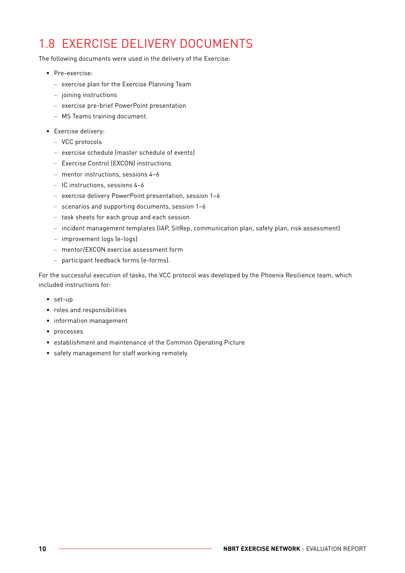## <span id="page-11-0"></span>1.8 EXERCISE DELIVERY DOCUMENTS

The following documents were used in the delivery of the Exercise:

- Pre-exercise:
	- exercise plan for the Exercise Planning Team
	- joining instructions
	- exercise pre-brief PowerPoint presentation
	- MS Teams training document.
- Exercise delivery:
	- VCC protocols
	- exercise schedule (master schedule of events)
	- Exercise Control (EXCON) instructions
	- mentor instructions, sessions 4–6
	- IC instructions, sessions 4–6
	- exercise delivery PowerPoint presentation, session 1–6
	- scenarios and supporting documents, session 1–6
	- task sheets for each group and each session
	- incident management templates (IAP, SitRep, communication plan, safety plan, risk assessment)
	- improvement logs (e-logs)
	- mentor/EXCON exercise assessment form
	- participant feedback forms (e-forms).

For the successful execution of tasks, the VCC protocol was developed by the Phoenix Resilience team, which included instructions for:

- set-up
- roles and responsibilities
- information management
- processes
- establishment and maintenance of the Common Operating Picture
- safety management for staff working remotely.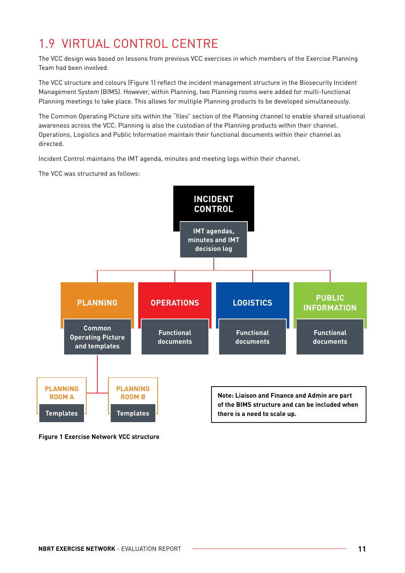## <span id="page-12-0"></span>1.9 VIRTUAL CONTROL CENTRE

The VCC design was based on lessons from previous VCC exercises in which members of the Exercise Planning Team had been involved.

The VCC structure and colours (Figure 1) reflect the incident management structure in the Biosecurity Incident Management System (BIMS). However, within Planning, two Planning rooms were added for multi-functional Planning meetings to take place. This allows for multiple Planning products to be developed simultaneously.

The Common Operating Picture sits within the "files" section of the Planning channel to enable shared situational awareness across the VCC. Planning is also the custodian of the Planning products within their channel. Operations, Logistics and Public Information maintain their functional documents within their channel as directed.

Incident Control maintains the IMT agenda, minutes and meeting logs within their channel.

The VCC was structured as follows:



**Figure 1 Exercise Network VCC structure**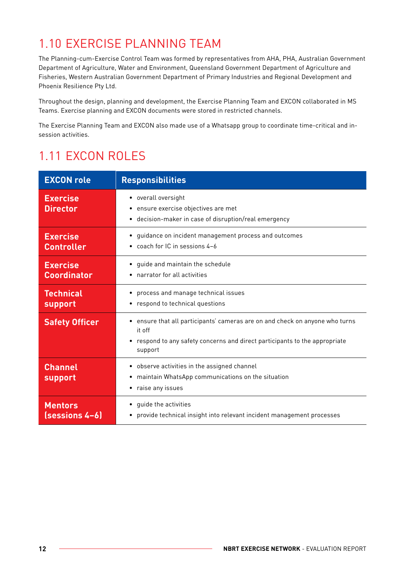## <span id="page-13-0"></span>1.10 EXERCISE PLANNING TEAM

The Planning-cum-Exercise Control Team was formed by representatives from AHA, PHA, Australian Government Department of Agriculture, Water and Environment, Queensland Government Department of Agriculture and Fisheries, Western Australian Government Department of Primary Industries and Regional Development and Phoenix Resilience Pty Ltd.

Throughout the design, planning and development, the Exercise Planning Team and EXCON collaborated in MS Teams. Exercise planning and EXCON documents were stored in restricted channels.

The Exercise Planning Team and EXCON also made use of a Whatsapp group to coordinate time-critical and insession activities.

## 1.11 EXCON ROLES

| <b>EXCON role</b>                     | <b>Responsibilities</b>                                                                                                                                                           |
|---------------------------------------|-----------------------------------------------------------------------------------------------------------------------------------------------------------------------------------|
| <b>Exercise</b><br><b>Director</b>    | • overall oversight<br>ensure exercise objectives are met<br>decision-maker in case of disruption/real emergency                                                                  |
| <b>Exercise</b><br><b>Controller</b>  | • guidance on incident management process and outcomes<br>coach for IC in sessions 4-6                                                                                            |
| <b>Exercise</b><br><b>Coordinator</b> | • quide and maintain the schedule<br>• narrator for all activities                                                                                                                |
| <b>Technical</b><br>support           | process and manage technical issues<br>respond to technical questions                                                                                                             |
| <b>Safety Officer</b>                 | ensure that all participants' cameras are on and check on anyone who turns<br>it off<br>respond to any safety concerns and direct participants to the appropriate<br>٠<br>support |
| <b>Channel</b><br>support             | • observe activities in the assigned channel<br>maintain WhatsApp communications on the situation<br>raise any issues<br>٠                                                        |
| <b>Mentors</b><br>(sessions 4-6)      | • quide the activities<br>provide technical insight into relevant incident management processes<br>$\bullet$                                                                      |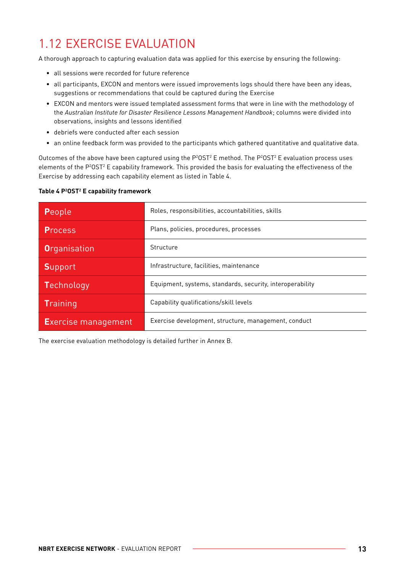## <span id="page-14-0"></span>1.12 EXERCISE EVALUATION

A thorough approach to capturing evaluation data was applied for this exercise by ensuring the following:

- all sessions were recorded for future reference
- all participants, EXCON and mentors were issued improvements logs should there have been any ideas, suggestions or recommendations that could be captured during the Exercise
- EXCON and mentors were issued templated assessment forms that were in line with the methodology of the *Australian Institute for Disaster Resilience Lessons Management Handbook*; columns were divided into observations, insights and lessons identified
- debriefs were conducted after each session
- an online feedback form was provided to the participants which gathered quantitative and qualitative data.

Outcomes of the above have been captured using the P<sup>2</sup>OST<sup>2</sup> E method. The P<sup>2</sup>OST<sup>2</sup> E evaluation process uses elements of the P $^{2}$ OST $^{2}$  E capability framework. This provided the basis for evaluating the effectiveness of the Exercise by addressing each capability element as listed in Table 4.

#### **Table 4 P2 OST2 E capability framework**

| People                     | Roles, responsibilities, accountabilities, skills         |
|----------------------------|-----------------------------------------------------------|
| <b>Process</b>             | Plans, policies, procedures, processes                    |
| <b>Organisation</b>        | Structure                                                 |
| Support                    | Infrastructure, facilities, maintenance                   |
| Technology                 | Equipment, systems, standards, security, interoperability |
| Training                   | Capability qualifications/skill levels                    |
| <b>Exercise management</b> | Exercise development, structure, management, conduct      |

The exercise evaluation methodology is detailed further in Annex B.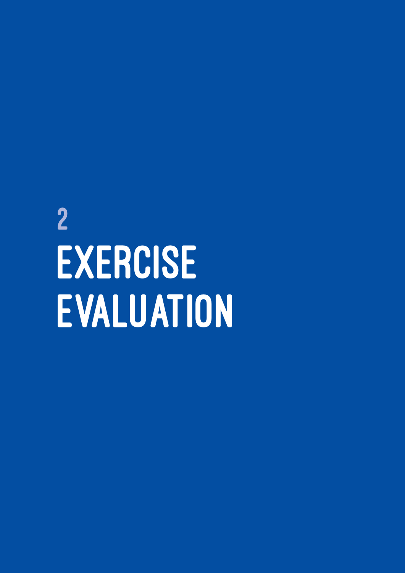## <span id="page-15-0"></span>2 **EXERCISE** EVALUATION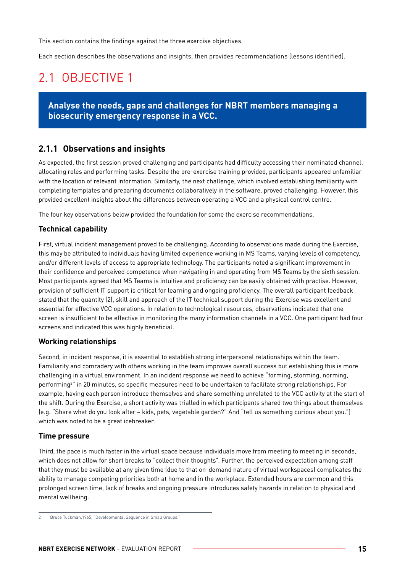<span id="page-16-0"></span>This section contains the findings against the three exercise objectives.

Each section describes the observations and insights, then provides recommendations (lessons identified).

## 2.1 OBJECTIVE 1

**Analyse the needs, gaps and challenges for NBRT members managing a biosecurity emergency response in a VCC.**

#### **2.1.1 Observations and insights**

As expected, the first session proved challenging and participants had difficulty accessing their nominated channel, allocating roles and performing tasks. Despite the pre-exercise training provided, participants appeared unfamiliar with the location of relevant information. Similarly, the next challenge, which involved establishing familiarity with completing templates and preparing documents collaboratively in the software, proved challenging. However, this provided excellent insights about the differences between operating a VCC and a physical control centre.

The four key observations below provided the foundation for some the exercise recommendations.

#### **Technical capability**

First, virtual incident management proved to be challenging. According to observations made during the Exercise, this may be attributed to individuals having limited experience working in MS Teams, varying levels of competency, and/or different levels of access to appropriate technology. The participants noted a significant improvement in their confidence and perceived competence when navigating in and operating from MS Teams by the sixth session. Most participants agreed that MS Teams is intuitive and proficiency can be easily obtained with practise. However, provision of sufficient IT support is critical for learning and ongoing proficiency. The overall participant feedback stated that the quantity (2), skill and approach of the IT technical support during the Exercise was excellent and essential for effective VCC operations. In relation to technological resources, observations indicated that one screen is insufficient to be effective in monitoring the many information channels in a VCC. One participant had four screens and indicated this was highly beneficial.

#### **Working relationships**

Second, in incident response, it is essential to establish strong interpersonal relationships within the team. Familiarity and comradery with others working in the team improves overall success but establishing this is more challenging in a virtual environment. In an incident response we need to achieve "forming, storming, norming, performing<sup>2</sup>" in 20 minutes, so specific measures need to be undertaken to facilitate strong relationships. For example, having each person introduce themselves and share something unrelated to the VCC activity at the start of the shift. During the Exercise, a short activity was trialled in which participants shared two things about themselves (e.g. "Share what do you look after – kids, pets, vegetable garden?" And "tell us something curious about you.") which was noted to be a great icebreaker.

#### **Time pressure**

Third, the pace is much faster in the virtual space because individuals move from meeting to meeting in seconds, which does not allow for short breaks to "collect their thoughts". Further, the perceived expectation among staff that they must be available at any given time (due to that on-demand nature of virtual workspaces) complicates the ability to manage competing priorities both at home and in the workplace. Extended hours are common and this prolonged screen time, lack of breaks and ongoing pressure introduces safety hazards in relation to physical and mental wellbeing.

<sup>2</sup> Bruce Tuckman,1965, "Developmental Sequence in Small Groups."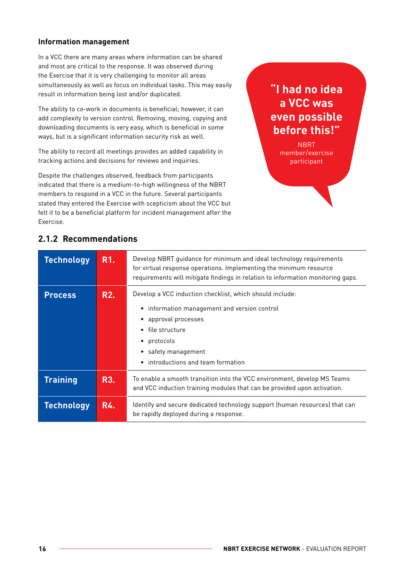#### <span id="page-17-0"></span>**Information management**

In a VCC there are many areas where information can be shared and most are critical to the response. It was observed during the Exercise that it is very challenging to monitor all areas simultaneously as well as focus on individual tasks. This may easily result in information being lost and/or duplicated.

The ability to co-work in documents is beneficial; however, it can add complexity to version control. Removing, moving, copying and downloading documents is very easy, which is beneficial in some ways, but is a significant information security risk as well.

The ability to record all meetings provides an added capability in tracking actions and decisions for reviews and inquiries.

Despite the challenges observed, feedback from participants indicated that there is a medium-to-high willingness of the NBRT members to respond in a VCC in the future. Several participants stated they entered the Exercise with scepticism about the VCC but felt it to be a beneficial platform for incident management after the Exercise.

### **"I had no idea a VCC was even possible before this!"**

**NBRT** member/exercise participant

#### **2.1.2 Recommendations**

| <b>Technology</b> | R <sub>1</sub> . | Develop NBRT quidance for minimum and ideal technology requirements<br>for virtual response operations. Implementing the minimum resource<br>requirements will mitigate findings in relation to information monitoring gaps.                                                 |
|-------------------|------------------|------------------------------------------------------------------------------------------------------------------------------------------------------------------------------------------------------------------------------------------------------------------------------|
| <b>Process</b>    | <b>R2.</b>       | Develop a VCC induction checklist, which should include:<br>• information management and version control<br>• approval processes<br>file structure<br>$\bullet$<br>protocols<br>$\bullet$<br>safety management<br>$\bullet$<br>introductions and team formation<br>$\bullet$ |
| <b>Training</b>   | R3.              | To enable a smooth transition into the VCC environment, develop MS Teams<br>and VCC induction training modules that can be provided upon activation.                                                                                                                         |
| <b>Technology</b> | <b>R4.</b>       | Identify and secure dedicated technology support (human resources) that can<br>be rapidly deployed during a response.                                                                                                                                                        |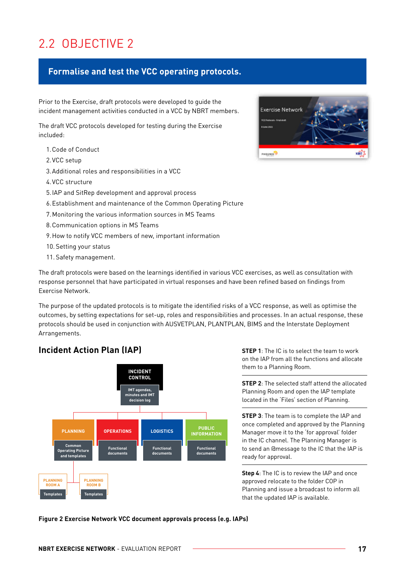## <span id="page-18-0"></span>2.2 OBJECTIVE 2

#### **Formalise and test the VCC operating protocols.**

Prior to the Exercise, draft protocols were developed to guide the incident management activities conducted in a VCC by NBRT members.

The draft VCC protocols developed for testing during the Exercise included:

- 1.Code of Conduct
- 2.VCC setup
- 3.Additional roles and responsibilities in a VCC
- 4.VCC structure
- 5.IAP and SitRep development and approval process
- 6.Establishment and maintenance of the Common Operating Picture
- 7.Monitoring the various information sources in MS Teams
- 8.Communication options in MS Teams
- 9.How to notify VCC members of new, important information
- 10. Setting your status
- 11. Safety management.

The draft protocols were based on the learnings identified in various VCC exercises, as well as consultation with response personnel that have participated in virtual responses and have been refined based on findings from Exercise Network.

The purpose of the updated protocols is to mitigate the identified risks of a VCC response, as well as optimise the outcomes, by setting expectations for set-up, roles and responsibilities and processes. In an actual response, these protocols should be used in conjunction with AUSVETPLAN, PLANTPLAN, BIMS and the Interstate Deployment Arrangements.

#### **Incident Action Plan (IAP)**



**STEP 1:** The IC is to select the team to work on the IAP from all the functions and allocate them to a Planning Room.

**STEP 2**: The selected staff attend the allocated Planning Room and open the IAP template located in the 'Files' section of Planning.

**STEP 3**: The team is to complete the IAP and once completed and approved by the Planning Manager move it to the 'for approval' folder in the IC channel. The Planning Manager is to send an @message to the IC that the IAP is ready for approval.

**Step 4**: The IC is to review the IAP and once approved relocate to the folder COP in Planning and issue a broadcast to inform all that the updated IAP is available.

**Figure 2 Exercise Network VCC document approvals process (e.g. IAPs)**

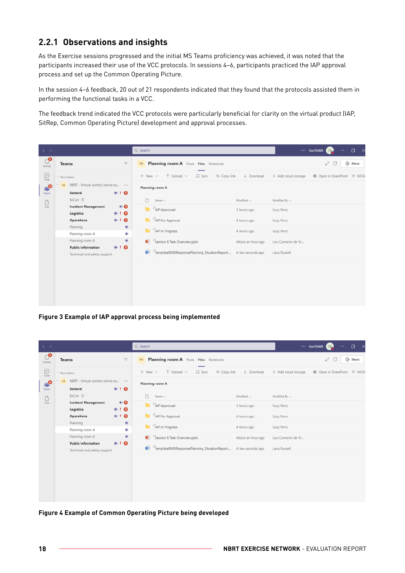#### <span id="page-19-0"></span>**2.2.1 Observations and insights**

As the Exercise sessions progressed and the initial MS Teams proficiency was achieved, it was noted that the participants increased their use of the VCC protocols. In sessions 4–6, participants practiced the IAP approval process and set up the Common Operating Picture.

In the session 4–6 feedback, 20 out of 21 respondents indicated that they found that the protocols assisted them in performing the functional tasks in a VCC.

The feedback trend indicated the VCC protocols were particularly beneficial for clarity on the virtual product (IAP, SitRep, Common Operating Picture) development and approval processes.



#### **Figure 3 Example of IAP approval process being implemented**

| $\langle \rangle$                                                                |                                                                                                                                        |                                     | Q Search                                                                                                                                        |                                                              |                                                                       | $\Box$<br>GovTEAMS            |
|----------------------------------------------------------------------------------|----------------------------------------------------------------------------------------------------------------------------------------|-------------------------------------|-------------------------------------------------------------------------------------------------------------------------------------------------|--------------------------------------------------------------|-----------------------------------------------------------------------|-------------------------------|
| C                                                                                | <b>Teams</b>                                                                                                                           | $\equiv$                            | Planning room A Posts Files Notebook<br>NB                                                                                                      |                                                              |                                                                       | C Meet<br>↗<br>G              |
| $\bigodot$<br>GO <sub>40</sub><br>Teams<br>$\bigcap_{\mathbb{Z} \ni \mathbb{Z}}$ | = Your teams<br>NBRT - Virtual control centre ex<br>General<br>ExCon @<br><b>Incident Management</b><br>Logistics<br><b>Operations</b> | 610<br>$\bullet$ O<br>610<br>$+ 10$ | $\bar{\uparrow}$ Upload $\vee$<br>a Sync<br>$+$ New $\vee$<br>Copy link<br>Planning room A<br>D<br>Name v<br>"LAP Approved<br>"LAP For Approval | $\perp$ Download<br>Modified ~<br>3 hours ago<br>4 hours ago | + Add cloud storage<br>Modified By $\vee$<br>Suzy Perry<br>Suzy Perry | C Open in SharePoint = All Do |
|                                                                                  | Planning<br>Planning room A<br>Planning room B<br><b>Public Information</b><br>Technical and safety support                            | ۰<br>÷<br>۰<br>610                  | <sup>2</sup> IAP In Progress<br>Session 6 Task Overview.pptx<br>TemplateBIMSResponsePlanning_SituationReport A few seconds ago                  | 4 hours ago<br>About an hour ago                             | Suzy Perry<br>Lisa Cameron de Vr<br>Lana Russell                      |                               |
|                                                                                  |                                                                                                                                        |                                     |                                                                                                                                                 |                                                              |                                                                       |                               |

**Figure 4 Example of Common Operating Picture being developed**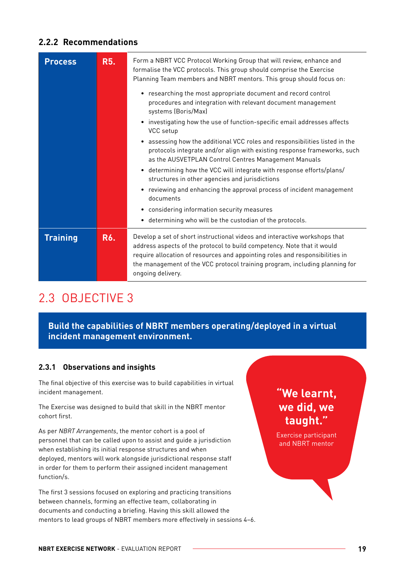#### <span id="page-20-0"></span>**2.2.2 Recommendations**

| <b>Process</b>  | <b>R5.</b> | Form a NBRT VCC Protocol Working Group that will review, enhance and<br>formalise the VCC protocols. This group should comprise the Exercise<br>Planning Team members and NBRT mentors. This group should focus on:<br>researching the most appropriate document and record control<br>procedures and integration with relevant document management<br>systems (Boris/Max)<br>investigating how the use of function-specific email addresses affects<br>$\bullet$<br>VCC setup |
|-----------------|------------|--------------------------------------------------------------------------------------------------------------------------------------------------------------------------------------------------------------------------------------------------------------------------------------------------------------------------------------------------------------------------------------------------------------------------------------------------------------------------------|
|                 |            | assessing how the additional VCC roles and responsibilities listed in the<br>protocols integrate and/or align with existing response frameworks, such<br>as the AUSVETPLAN Control Centres Management Manuals<br>determining how the VCC will integrate with response efforts/plans/<br>٠<br>structures in other agencies and jurisdictions                                                                                                                                    |
|                 |            | reviewing and enhancing the approval process of incident management<br>documents<br>• considering information security measures<br>determining who will be the custodian of the protocols.                                                                                                                                                                                                                                                                                     |
| <b>Training</b> | R6.        | Develop a set of short instructional videos and interactive workshops that<br>address aspects of the protocol to build competency. Note that it would<br>require allocation of resources and appointing roles and responsibilities in<br>the management of the VCC protocol training program, including planning for<br>ongoing delivery.                                                                                                                                      |

## 2.3 OBJECTIVE 3

**Build the capabilities of NBRT members operating/deployed in a virtual incident management environment.**

#### **2.3.1 Observations and insights**

The final objective of this exercise was to build capabilities in virtual incident management.

The Exercise was designed to build that skill in the NBRT mentor cohort first.

As per *NBRT Arrangements*, the mentor cohort is a pool of personnel that can be called upon to assist and guide a jurisdiction when establishing its initial response structures and when deployed, mentors will work alongside jurisdictional response staff in order for them to perform their assigned incident management function/s.

The first 3 sessions focused on exploring and practicing transitions between channels, forming an effective team, collaborating in documents and conducting a briefing. Having this skill allowed the mentors to lead groups of NBRT members more effectively in sessions 4–6.

### **"We learnt, we did, we taught."**

Exercise participant and NBRT mentor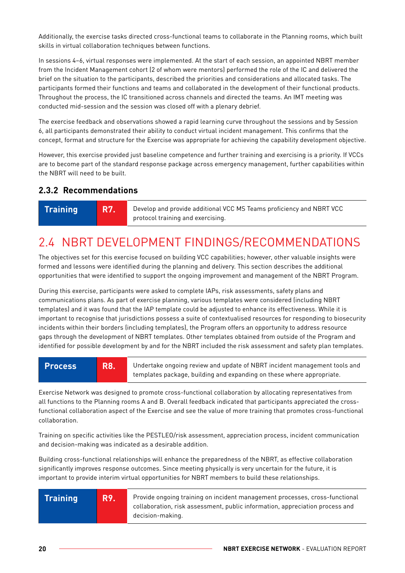<span id="page-21-0"></span>Additionally, the exercise tasks directed cross-functional teams to collaborate in the Planning rooms, which built skills in virtual collaboration techniques between functions.

In sessions 4–6, virtual responses were implemented. At the start of each session, an appointed NBRT member from the Incident Management cohort (2 of whom were mentors) performed the role of the IC and delivered the brief on the situation to the participants, described the priorities and considerations and allocated tasks. The participants formed their functions and teams and collaborated in the development of their functional products. Throughout the process, the IC transitioned across channels and directed the teams. An IMT meeting was conducted mid-session and the session was closed off with a plenary debrief.

The exercise feedback and observations showed a rapid learning curve throughout the sessions and by Session 6, all participants demonstrated their ability to conduct virtual incident management. This confirms that the concept, format and structure for the Exercise was appropriate for achieving the capability development objective.

However, this exercise provided just baseline competence and further training and exercising is a priority. If VCCs are to become part of the standard response package across emergency management, further capabilities within the NBRT will need to be built.

#### **2.3.2 Recommendations**

**Training R7.** Develop and provide additional VCC MS Teams proficiency and NBRT VCC protocol training and exercising.

## 2.4 NBRT DEVELOPMENT FINDINGS/RECOMMENDATIONS

The objectives set for this exercise focused on building VCC capabilities; however, other valuable insights were formed and lessons were identified during the planning and delivery. This section describes the additional opportunities that were identified to support the ongoing improvement and management of the NBRT Program.

During this exercise, participants were asked to complete IAPs, risk assessments, safety plans and communications plans. As part of exercise planning, various templates were considered (including NBRT templates) and it was found that the IAP template could be adjusted to enhance its effectiveness. While it is important to recognise that jurisdictions possess a suite of contextualised resources for responding to biosecurity incidents within their borders (including templates), the Program offers an opportunity to address resource gaps through the development of NBRT templates. Other templates obtained from outside of the Program and identified for possible development by and for the NBRT included the risk assessment and safety plan templates.

| <b>Process</b> | <b>NR8.</b> | Undertake ongoing review and update of NBRT incident management tools and |  |
|----------------|-------------|---------------------------------------------------------------------------|--|
|                |             | templates package, building and expanding on these where appropriate.     |  |

Exercise Network was designed to promote cross-functional collaboration by allocating representatives from all functions to the Planning rooms A and B. Overall feedback indicated that participants appreciated the crossfunctional collaboration aspect of the Exercise and see the value of more training that promotes cross-functional collaboration.

Training on specific activities like the PESTLEO/risk assessment, appreciation process, incident communication and decision-making was indicated as a desirable addition.

Building cross-functional relationships will enhance the preparedness of the NBRT, as effective collaboration significantly improves response outcomes. Since meeting physically is very uncertain for the future, it is important to provide interim virtual opportunities for NBRT members to build these relationships.

| Training | <b>R9.</b> | Provide ongoing training on incident management processes, cross-functional<br>collaboration, risk assessment, public information, appreciation process and |
|----------|------------|-------------------------------------------------------------------------------------------------------------------------------------------------------------|
|          |            | decision-making.                                                                                                                                            |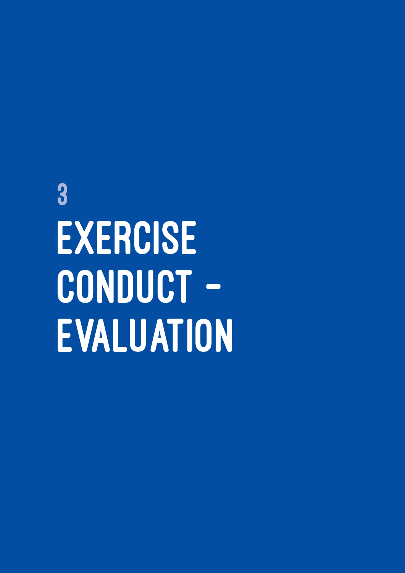# <span id="page-22-0"></span>3 **EXERCISE** CONDUCT -**EVALUATION**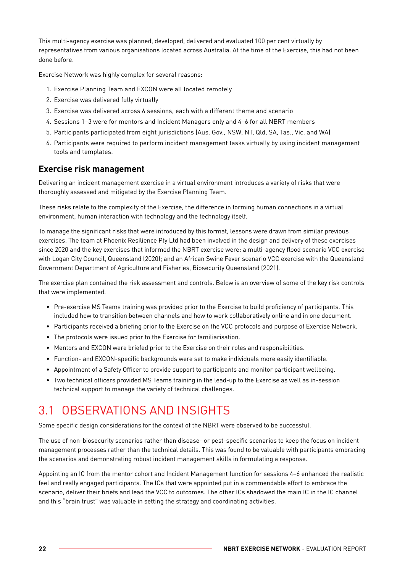<span id="page-23-0"></span>This multi-agency exercise was planned, developed, delivered and evaluated 100 per cent virtually by representatives from various organisations located across Australia. At the time of the Exercise, this had not been done before.

Exercise Network was highly complex for several reasons:

- 1. Exercise Planning Team and EXCON were all located remotely
- 2. Exercise was delivered fully virtually
- 3. Exercise was delivered across 6 sessions, each with a different theme and scenario
- 4. Sessions 1–3 were for mentors and Incident Managers only and 4–6 for all NBRT members
- 5. Participants participated from eight jurisdictions (Aus. Gov., NSW, NT, Qld, SA, Tas., Vic. and WA)
- 6. Participants were required to perform incident management tasks virtually by using incident management tools and templates.

#### **Exercise risk management**

Delivering an incident management exercise in a virtual environment introduces a variety of risks that were thoroughly assessed and mitigated by the Exercise Planning Team.

These risks relate to the complexity of the Exercise, the difference in forming human connections in a virtual environment, human interaction with technology and the technology itself.

To manage the significant risks that were introduced by this format, lessons were drawn from similar previous exercises. The team at Phoenix Resilience Pty Ltd had been involved in the design and delivery of these exercises since 2020 and the key exercises that informed the NBRT exercise were: a multi-agency flood scenario VCC exercise with Logan City Council, Queensland (2020); and an African Swine Fever scenario VCC exercise with the Queensland Government Department of Agriculture and Fisheries, Biosecurity Queensland (2021).

The exercise plan contained the risk assessment and controls. Below is an overview of some of the key risk controls that were implemented.

- Pre-exercise MS Teams training was provided prior to the Exercise to build proficiency of participants. This included how to transition between channels and how to work collaboratively online and in one document.
- Participants received a briefing prior to the Exercise on the VCC protocols and purpose of Exercise Network.
- The protocols were issued prior to the Exercise for familiarisation.
- Mentors and EXCON were briefed prior to the Exercise on their roles and responsibilities.
- Function- and EXCON-specific backgrounds were set to make individuals more easily identifiable.
- Appointment of a Safety Officer to provide support to participants and monitor participant wellbeing.
- Two technical officers provided MS Teams training in the lead-up to the Exercise as well as in-session technical support to manage the variety of technical challenges.

## 3.1 OBSERVATIONS AND INSIGHTS

Some specific design considerations for the context of the NBRT were observed to be successful.

The use of non-biosecurity scenarios rather than disease- or pest-specific scenarios to keep the focus on incident management processes rather than the technical details. This was found to be valuable with participants embracing the scenarios and demonstrating robust incident management skills in formulating a response.

Appointing an IC from the mentor cohort and Incident Management function for sessions 4–6 enhanced the realistic feel and really engaged participants. The ICs that were appointed put in a commendable effort to embrace the scenario, deliver their briefs and lead the VCC to outcomes. The other ICs shadowed the main IC in the IC channel and this "brain trust" was valuable in setting the strategy and coordinating activities.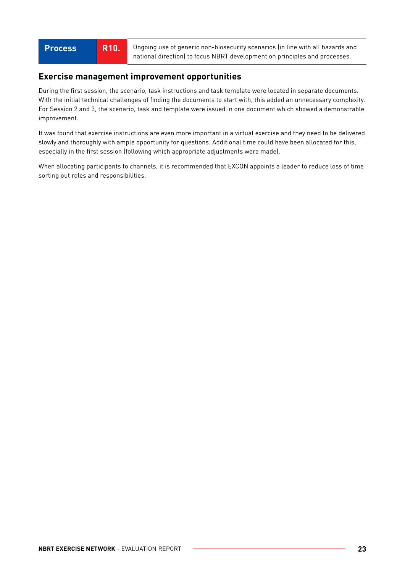**Process R10.** Ongoing use of generic non-biosecurity scenarios (in line with all hazards and national direction) to focus NBRT development on principles and processes.

#### **Exercise management improvement opportunities**

During the first session, the scenario, task instructions and task template were located in separate documents. With the initial technical challenges of finding the documents to start with, this added an unnecessary complexity. For Session 2 and 3, the scenario, task and template were issued in one document which showed a demonstrable improvement.

It was found that exercise instructions are even more important in a virtual exercise and they need to be delivered slowly and thoroughly with ample opportunity for questions. Additional time could have been allocated for this, especially in the first session (following which appropriate adjustments were made).

When allocating participants to channels, it is recommended that EXCON appoints a leader to reduce loss of time sorting out roles and responsibilities.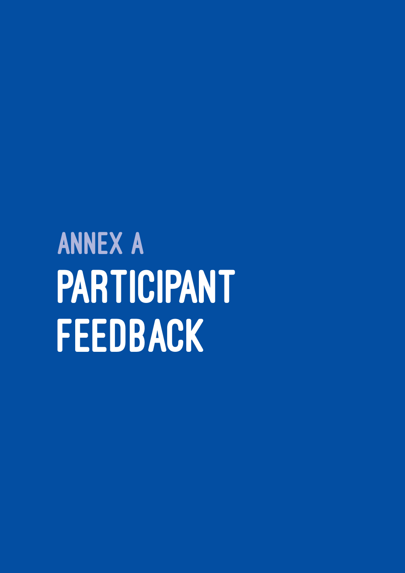<span id="page-25-0"></span>ANNEx A **PARTICIPANT** feedback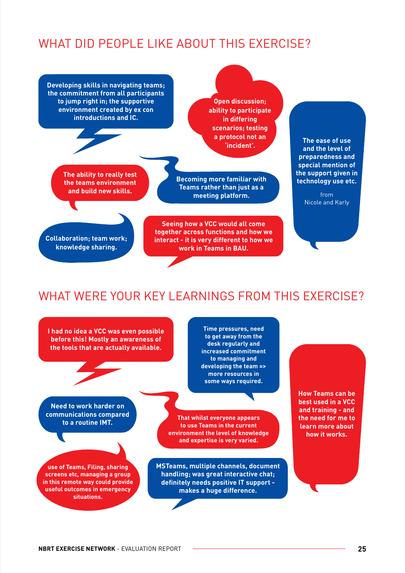## WHAT DID PFOPLE LIKE ABOUT THIS EXERCISE?

**The ease of use and the level of preparedness and special mention of the support given in technology use etc.** from Nicole and Karly **Open discussion; ability to participate in differing scenarios; testing a protocol not an 'incident'. Becoming more familiar with Teams rather than just as a meeting platform. Seeing how a VCC would all come together across functions and how we interact - it is very different to how we work in Teams in BAU. The ability to really test the teams environment and build new skills. Collaboration; team work; knowledge sharing. Developing skills in navigating teams; the commitment from all participants to jump right in; the supportive environment created by ex con introductions and IC.**

## WHAT WERE YOUR KEY LEARNINGS FROM THIS EXERCISE?

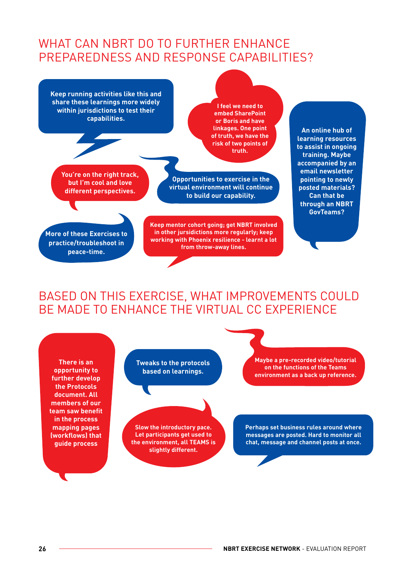### WHAT CAN NBRT DO TO FURTHER ENHANCE PREPAREDNESS AND RESPONSE CAPABILITIES?

**Keep running activities like this and share these learnings more widely within jurisdictions to test their capabilities.**

**I feel we need to embed SharePoint or Boris and have linkages. One point of truth, we have the risk of two points of truth.**

**You're on the right track, but I'm cool and love different perspectives.**

**Opportunities to exercise in the virtual environment will continue to build our capability.**

**More of these Exercises to practice/troubleshoot in peace-time.**

**Keep mentor cohort going; get NBRT involved in other jursidictions more regularly; keep working with Phoenix resilience - learnt a lot from throw-away lines.**

**An online hub of learning resources to assist in ongoing training. Maybe accompanied by an email newsletter pointing to newly posted materials? Can that be through an NBRT GovTeams?**

### BASED ON THIS EXERCISE, WHAT IMPROVEMENTS COULD BE MADE TO ENHANCE THE VIRTUAL CC EXPERIENCE

**There is an opportunity to further develop the Protocols document. All members of our team saw benefit in the process mapping pages (workflows) that guide process**

**Tweaks to the protocols based on learnings.**

**Maybe a pre-recorded video/tutorial on the functions of the Teams environment as a back up reference.**

**Slow the introductory pace. Let participants get used to the environment, all TEAMS is slightly different.**

**Perhaps set business rules around where messages are posted. Hard to monitor all chat, message and channel posts at once.**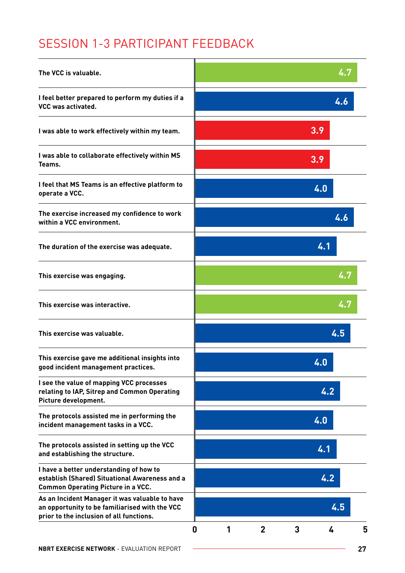## SESSION 1-3 PARTICIPANT FEEDBACK

| The VCC is valuable.                                                                                                                         |   |   |                |   | 4.7 |   |
|----------------------------------------------------------------------------------------------------------------------------------------------|---|---|----------------|---|-----|---|
| I feel better prepared to perform my duties if a<br><b>VCC was activated.</b>                                                                |   |   |                |   | 4.6 |   |
| I was able to work effectively within my team.                                                                                               |   |   |                |   | 3.9 |   |
| I was able to collaborate effectively within MS<br>Teams.                                                                                    |   |   |                |   | 3.9 |   |
| I feel that MS Teams is an effective platform to<br>operate a VCC.                                                                           |   |   |                |   | 4.0 |   |
| The exercise increased my confidence to work<br>within a VCC environment.                                                                    |   |   |                |   | 4.6 |   |
| The duration of the exercise was adequate.                                                                                                   |   |   |                |   | 4.1 |   |
| This exercise was engaging.                                                                                                                  |   |   |                |   | 4.7 |   |
| This exercise was interactive.                                                                                                               |   |   |                |   | 4.7 |   |
| This exercise was valuable.                                                                                                                  |   |   |                |   | 4.5 |   |
| This exercise gave me additional insights into<br>good incident management practices.                                                        |   |   |                |   | 4.0 |   |
| I see the value of mapping VCC processes<br>relating to IAP, Sitrep and Common Operating<br>Picture development.                             |   |   |                |   | 4.2 |   |
| The protocols assisted me in performing the<br>incident management tasks in a VCC.                                                           |   |   |                |   | 4.0 |   |
| The protocols assisted in setting up the VCC<br>and establishing the structure.                                                              |   |   |                |   | 4.1 |   |
| I have a better understanding of how to<br>establish (Shared) Situational Awareness and a<br><b>Common Operating Picture in a VCC.</b>       |   |   |                |   | 4.2 |   |
| As an Incident Manager it was valuable to have<br>an opportunity to be familiarised with the VCC<br>prior to the inclusion of all functions. |   |   |                |   | 4.5 |   |
|                                                                                                                                              | 0 | 1 | $\overline{2}$ | 3 | 4   | 5 |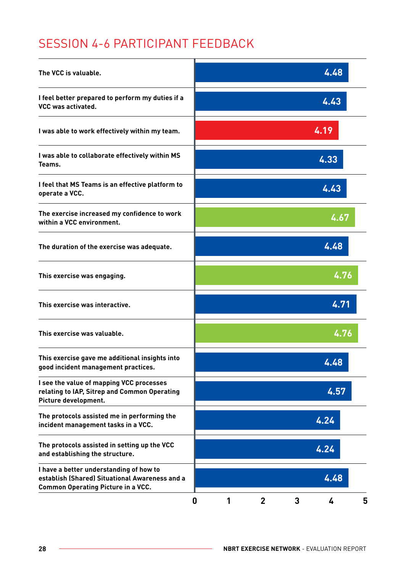## SESSION 4-6 PARTICIPANT FEEDBACK

| The VCC is valuable.                                                                                                                   |   |   |                |   | 4.48 |   |
|----------------------------------------------------------------------------------------------------------------------------------------|---|---|----------------|---|------|---|
| I feel better prepared to perform my duties if a<br><b>VCC was activated.</b>                                                          |   |   |                |   | 4.43 |   |
| I was able to work effectively within my team.                                                                                         |   |   |                |   | 4.19 |   |
| I was able to collaborate effectively within MS<br>Teams.                                                                              |   |   |                |   | 4.33 |   |
| I feel that MS Teams is an effective platform to<br>operate a VCC.                                                                     |   |   |                |   | 4.43 |   |
| The exercise increased my confidence to work<br>within a VCC environment.                                                              |   |   |                |   | 4.67 |   |
| The duration of the exercise was adequate.                                                                                             |   |   |                |   | 4.48 |   |
| This exercise was engaging.                                                                                                            |   |   |                |   | 4.76 |   |
| This exercise was interactive.                                                                                                         |   |   |                |   | 4.71 |   |
| This exercise was valuable.                                                                                                            |   |   |                |   | 4.76 |   |
| This exercise gave me additional insights into<br>good incident management practices.                                                  |   |   |                |   | 4.48 |   |
| I see the value of mapping VCC processes<br>relating to IAP, Sitrep and Common Operating<br>Picture development.                       |   |   |                |   | 4.57 |   |
| The protocols assisted me in performing the<br>incident management tasks in a VCC.                                                     |   |   |                |   | 4.24 |   |
| The protocols assisted in setting up the VCC<br>and establishing the structure.                                                        |   |   |                |   | 4.24 |   |
| I have a better understanding of how to<br>establish (Shared) Situational Awareness and a<br><b>Common Operating Picture in a VCC.</b> |   |   |                |   | 4.48 |   |
|                                                                                                                                        | 0 | 1 | $\overline{2}$ | 3 | 4    | 5 |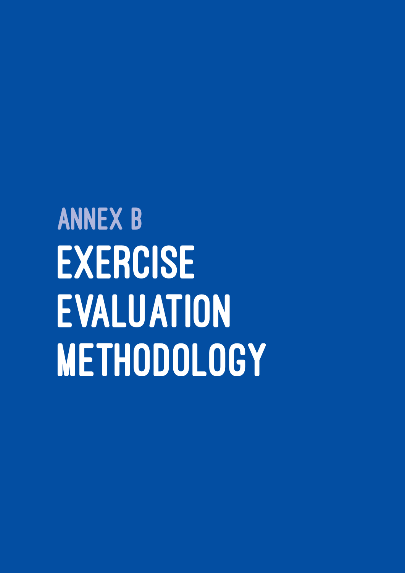# <span id="page-30-0"></span>ANNEx B **EXERCISE EVALUATION** methodology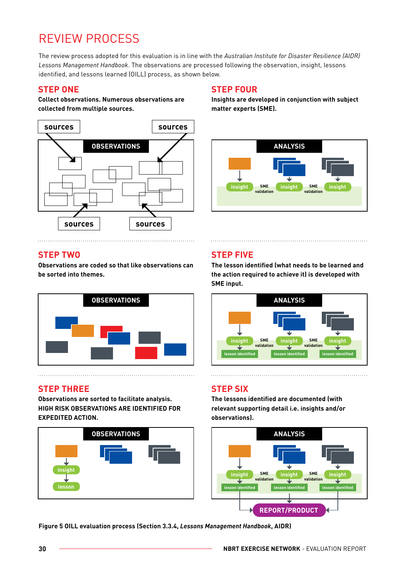## REVIEW PROCESS

The review process adopted for this evaluation is in line with the *Australian Institute for Disaster Resilience (AIDR) Lessons Management Handbook*. The observations are processed following the observation, insight, lessons identified, and lessons learned (OILL) process, as shown below.

#### **STEP ONE**

**Collect observations. Numerous observations are collected from multiple sources.**



#### **STEP FOUR**

**Insights are developed in conjunction with subject matter experts (SME).**



#### **STEP TWO**

**Observations are coded so that like observations can be sorted into themes.**



#### **STEP THREE**

**Observations are sorted to facilitate analysis. HIGH RISK OBSERVATIONS ARE IDENTIFIED FOR EXPEDITED ACTION.**



#### **STEP FIVE**

**The lesson identified (what needs to be learned and the action required to achieve it) is developed with SME input.**



#### **STEP SIX**

**The lessons identified are documented (with relevant supporting detail i.e. insights and/or observations).**



**Figure 5 OILL evaluation process (Section 3.3.4,** *Lessons Management Handbook***, AIDR)**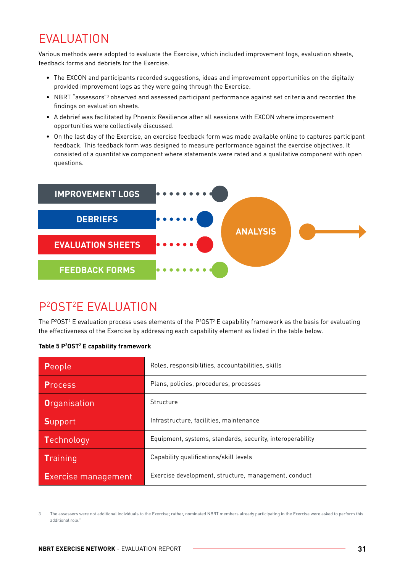## EVALUATION

Various methods were adopted to evaluate the Exercise, which included improvement logs, evaluation sheets, feedback forms and debriefs for the Exercise.

- The EXCON and participants recorded suggestions, ideas and improvement opportunities on the digitally provided improvement logs as they were going through the Exercise.
- NBRT "assessors"<sup>3</sup> observed and assessed participant performance against set criteria and recorded the findings on evaluation sheets.
- A debrief was facilitated by Phoenix Resilience after all sessions with EXCON where improvement opportunities were collectively discussed.
- On the last day of the Exercise, an exercise feedback form was made available online to captures participant feedback. This feedback form was designed to measure performance against the exercise objectives. It consisted of a quantitative component where statements were rated and a qualitative component with open questions.



## P<sup>2</sup>OST<sup>2</sup>E EVALUATION

The P<sup>2</sup>OST<sup>2</sup> E evaluation process uses elements of the P<sup>2</sup>OST<sup>2</sup> E capability framework as the basis for evaluating the effectiveness of the Exercise by addressing each capability element as listed in the table below.

| People                     | Roles, responsibilities, accountabilities, skills         |
|----------------------------|-----------------------------------------------------------|
| <b>Process</b>             | Plans, policies, procedures, processes                    |
| <b>Organisation</b>        | Structure                                                 |
| Support                    | Infrastructure, facilities, maintenance                   |
| Technology                 | Equipment, systems, standards, security, interoperability |
| <b>Training</b>            | Capability qualifications/skill levels                    |
| <b>Exercise management</b> | Exercise development, structure, management, conduct      |

#### **Table 5 P2 OST2 E capability framework**

<sup>3</sup> The assessors were not additional individuals to the Exercise; rather, nominated NBRT members already participating in the Exercise were asked to perform this additional role."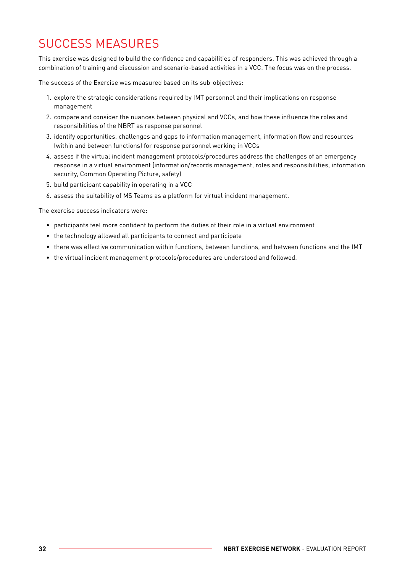## SUCCESS MEASURES

This exercise was designed to build the confidence and capabilities of responders. This was achieved through a combination of training and discussion and scenario-based activities in a VCC. The focus was on the process.

The success of the Exercise was measured based on its sub-objectives:

- 1. explore the strategic considerations required by IMT personnel and their implications on response management
- 2. compare and consider the nuances between physical and VCCs, and how these influence the roles and responsibilities of the NBRT as response personnel
- 3. identify opportunities, challenges and gaps to information management, information flow and resources (within and between functions) for response personnel working in VCCs
- 4. assess if the virtual incident management protocols/procedures address the challenges of an emergency response in a virtual environment (information/records management, roles and responsibilities, information security, Common Operating Picture, safety)
- 5. build participant capability in operating in a VCC
- 6. assess the suitability of MS Teams as a platform for virtual incident management.

The exercise success indicators were:

- participants feel more confident to perform the duties of their role in a virtual environment
- the technology allowed all participants to connect and participate
- there was effective communication within functions, between functions, and between functions and the IMT
- the virtual incident management protocols/procedures are understood and followed.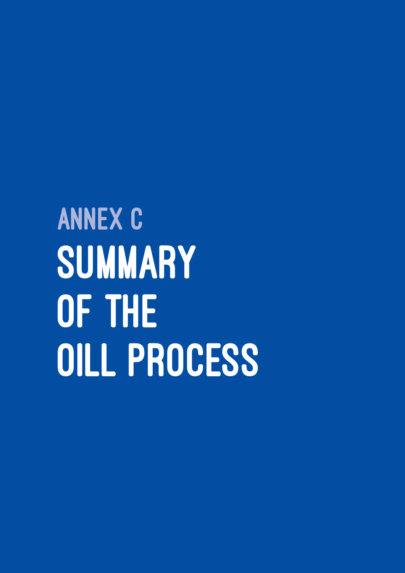# <span id="page-34-0"></span>ANNEx C SUMMARY of the OILL process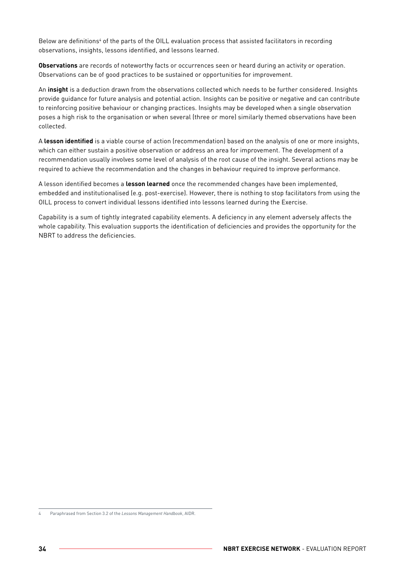Below are definitions<sup>4</sup> of the parts of the OILL evaluation process that assisted facilitators in recording observations, insights, lessons identified, and lessons learned.

**Observations** are records of noteworthy facts or occurrences seen or heard during an activity or operation. Observations can be of good practices to be sustained or opportunities for improvement.

An **insight** is a deduction drawn from the observations collected which needs to be further considered. Insights provide guidance for future analysis and potential action. Insights can be positive or negative and can contribute to reinforcing positive behaviour or changing practices. Insights may be developed when a single observation poses a high risk to the organisation or when several (three or more) similarly themed observations have been collected.

A **lesson identified** is a viable course of action (recommendation) based on the analysis of one or more insights, which can either sustain a positive observation or address an area for improvement. The development of a recommendation usually involves some level of analysis of the root cause of the insight. Several actions may be required to achieve the recommendation and the changes in behaviour required to improve performance.

A lesson identified becomes a **lesson learned** once the recommended changes have been implemented, embedded and institutionalised (e.g. post-exercise). However, there is nothing to stop facilitators from using the OILL process to convert individual lessons identified into lessons learned during the Exercise.

Capability is a sum of tightly integrated capability elements. A deficiency in any element adversely affects the whole capability. This evaluation supports the identification of deficiencies and provides the opportunity for the NBRT to address the deficiencies.

<sup>4</sup> Paraphrased from Section 3.2 of the *Lessons Management Handbook*, AIDR.